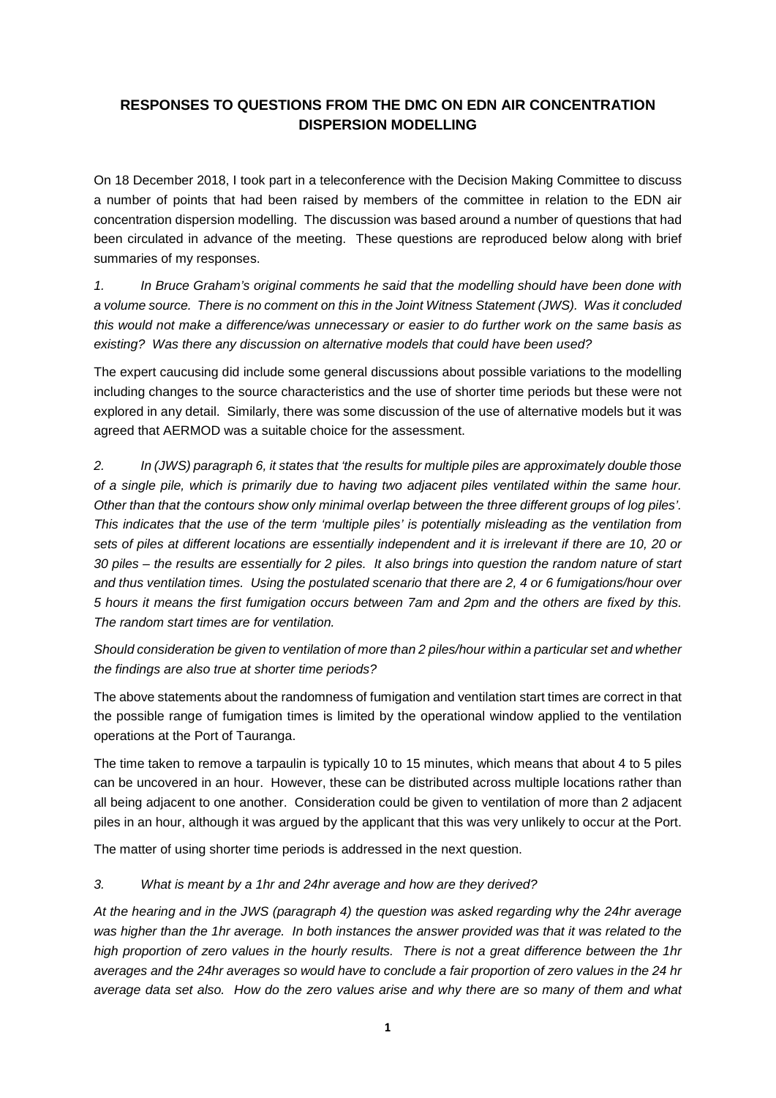## **RESPONSES TO QUESTIONS FROM THE DMC ON EDN AIR CONCENTRATION DISPERSION MODELLING**

On 18 December 2018, I took part in a teleconference with the Decision Making Committee to discuss a number of points that had been raised by members of the committee in relation to the EDN air concentration dispersion modelling. The discussion was based around a number of questions that had been circulated in advance of the meeting. These questions are reproduced below along with brief summaries of my responses.

*1. In Bruce Graham's original comments he said that the modelling should have been done with a volume source. There is no comment on this in the Joint Witness Statement (JWS). Was it concluded this would not make a difference/was unnecessary or easier to do further work on the same basis as existing? Was there any discussion on alternative models that could have been used?* 

The expert caucusing did include some general discussions about possible variations to the modelling including changes to the source characteristics and the use of shorter time periods but these were not explored in any detail. Similarly, there was some discussion of the use of alternative models but it was agreed that AERMOD was a suitable choice for the assessment.

*2. In (JWS) paragraph 6, it states that 'the results for multiple piles are approximately double those of a single pile, which is primarily due to having two adjacent piles ventilated within the same hour. Other than that the contours show only minimal overlap between the three different groups of log piles'. This indicates that the use of the term 'multiple piles' is potentially misleading as the ventilation from sets of piles at different locations are essentially independent and it is irrelevant if there are 10, 20 or 30 piles – the results are essentially for 2 piles. It also brings into question the random nature of start and thus ventilation times. Using the postulated scenario that there are 2, 4 or 6 fumigations/hour over 5 hours it means the first fumigation occurs between 7am and 2pm and the others are fixed by this. The random start times are for ventilation.* 

*Should consideration be given to ventilation of more than 2 piles/hour within a particular set and whether the findings are also true at shorter time periods?* 

The above statements about the randomness of fumigation and ventilation start times are correct in that the possible range of fumigation times is limited by the operational window applied to the ventilation operations at the Port of Tauranga.

The time taken to remove a tarpaulin is typically 10 to 15 minutes, which means that about 4 to 5 piles can be uncovered in an hour. However, these can be distributed across multiple locations rather than all being adjacent to one another. Consideration could be given to ventilation of more than 2 adjacent piles in an hour, although it was argued by the applicant that this was very unlikely to occur at the Port.

The matter of using shorter time periods is addressed in the next question.

## *3. What is meant by a 1hr and 24hr average and how are they derived?*

*At the hearing and in the JWS (paragraph 4) the question was asked regarding why the 24hr average*  was higher than the 1hr average. In both instances the answer provided was that it was related to the *high proportion of zero values in the hourly results. There is not a great difference between the 1hr averages and the 24hr averages so would have to conclude a fair proportion of zero values in the 24 hr average data set also. How do the zero values arise and why there are so many of them and what*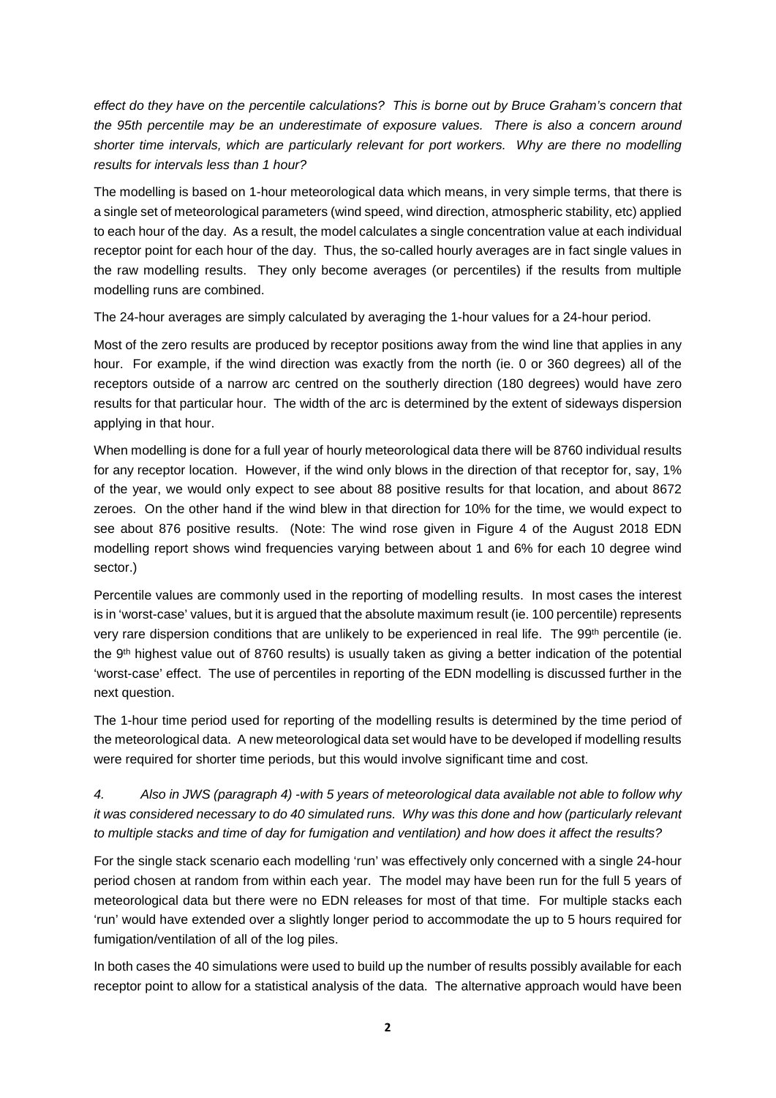*effect do they have on the percentile calculations? This is borne out by Bruce Graham's concern that the 95th percentile may be an underestimate of exposure values. There is also a concern around shorter time intervals, which are particularly relevant for port workers. Why are there no modelling results for intervals less than 1 hour?* 

The modelling is based on 1-hour meteorological data which means, in very simple terms, that there is a single set of meteorological parameters (wind speed, wind direction, atmospheric stability, etc) applied to each hour of the day. As a result, the model calculates a single concentration value at each individual receptor point for each hour of the day. Thus, the so-called hourly averages are in fact single values in the raw modelling results. They only become averages (or percentiles) if the results from multiple modelling runs are combined.

The 24-hour averages are simply calculated by averaging the 1-hour values for a 24-hour period.

Most of the zero results are produced by receptor positions away from the wind line that applies in any hour. For example, if the wind direction was exactly from the north (ie. 0 or 360 degrees) all of the receptors outside of a narrow arc centred on the southerly direction (180 degrees) would have zero results for that particular hour. The width of the arc is determined by the extent of sideways dispersion applying in that hour.

When modelling is done for a full year of hourly meteorological data there will be 8760 individual results for any receptor location. However, if the wind only blows in the direction of that receptor for, say, 1% of the year, we would only expect to see about 88 positive results for that location, and about 8672 zeroes. On the other hand if the wind blew in that direction for 10% for the time, we would expect to see about 876 positive results. (Note: The wind rose given in Figure 4 of the August 2018 EDN modelling report shows wind frequencies varying between about 1 and 6% for each 10 degree wind sector.)

Percentile values are commonly used in the reporting of modelling results. In most cases the interest is in 'worst-case' values, but it is argued that the absolute maximum result (ie. 100 percentile) represents very rare dispersion conditions that are unlikely to be experienced in real life. The 99<sup>th</sup> percentile (ie. the 9th highest value out of 8760 results) is usually taken as giving a better indication of the potential 'worst-case' effect. The use of percentiles in reporting of the EDN modelling is discussed further in the next question.

The 1-hour time period used for reporting of the modelling results is determined by the time period of the meteorological data. A new meteorological data set would have to be developed if modelling results were required for shorter time periods, but this would involve significant time and cost.

*4. Also in JWS (paragraph 4) -with 5 years of meteorological data available not able to follow why it was considered necessary to do 40 simulated runs. Why was this done and how (particularly relevant to multiple stacks and time of day for fumigation and ventilation) and how does it affect the results?* 

For the single stack scenario each modelling 'run' was effectively only concerned with a single 24-hour period chosen at random from within each year. The model may have been run for the full 5 years of meteorological data but there were no EDN releases for most of that time. For multiple stacks each 'run' would have extended over a slightly longer period to accommodate the up to 5 hours required for fumigation/ventilation of all of the log piles.

In both cases the 40 simulations were used to build up the number of results possibly available for each receptor point to allow for a statistical analysis of the data. The alternative approach would have been